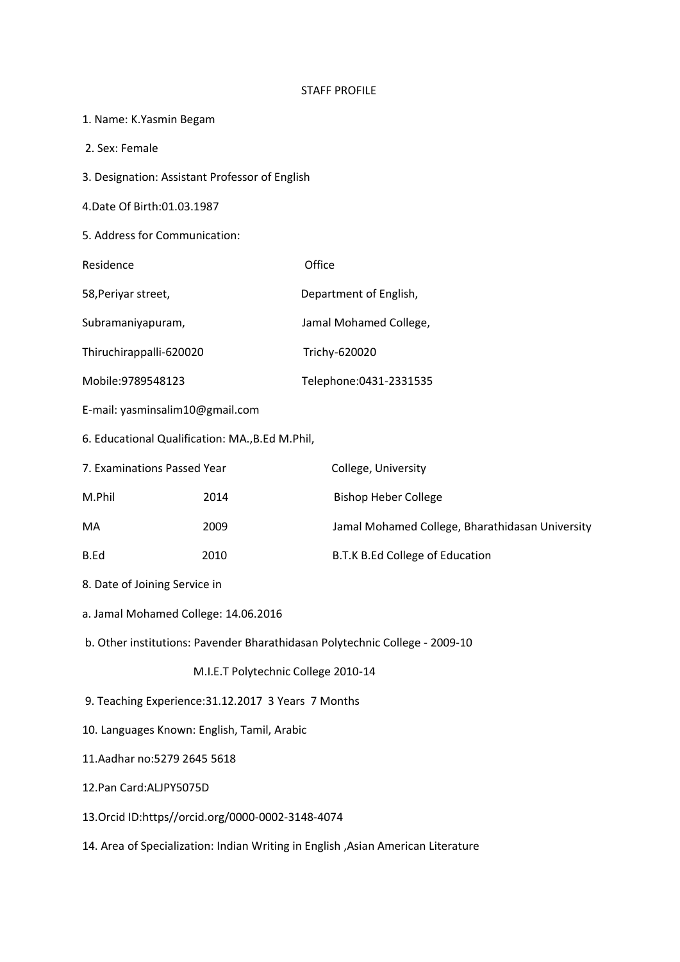## STAFF PROFILE

| 1. Name: K.Yasmin Begam                                                           |      |                                                 |
|-----------------------------------------------------------------------------------|------|-------------------------------------------------|
| 2. Sex: Female                                                                    |      |                                                 |
| 3. Designation: Assistant Professor of English                                    |      |                                                 |
| 4. Date Of Birth: 01.03.1987                                                      |      |                                                 |
| 5. Address for Communication:                                                     |      |                                                 |
| Residence                                                                         |      | Office                                          |
| 58, Periyar street,                                                               |      | Department of English,                          |
| Subramaniyapuram,                                                                 |      | Jamal Mohamed College,                          |
| Thiruchirappalli-620020                                                           |      | Trichy-620020                                   |
| Mobile: 9789548123                                                                |      | Telephone: 0431-2331535                         |
| E-mail: yasminsalim10@gmail.com                                                   |      |                                                 |
| 6. Educational Qualification: MA., B.Ed M.Phil,                                   |      |                                                 |
| 7. Examinations Passed Year                                                       |      | College, University                             |
| M.Phil                                                                            | 2014 | <b>Bishop Heber College</b>                     |
| MA                                                                                | 2009 | Jamal Mohamed College, Bharathidasan University |
| B.Ed                                                                              | 2010 | B.T.K B.Ed College of Education                 |
| 8. Date of Joining Service in                                                     |      |                                                 |
| a. Jamal Mohamed College: 14.06.2016                                              |      |                                                 |
| b. Other institutions: Pavender Bharathidasan Polytechnic College - 2009-10       |      |                                                 |
| M.I.E.T Polytechnic College 2010-14                                               |      |                                                 |
| 9. Teaching Experience: 31.12.2017 3 Years 7 Months                               |      |                                                 |
| 10. Languages Known: English, Tamil, Arabic                                       |      |                                                 |
| 11.Aadhar no:5279 2645 5618                                                       |      |                                                 |
| 12.Pan Card:ALJPY5075D                                                            |      |                                                 |
| 13. Orcid ID:https//orcid.org/0000-0002-3148-4074                                 |      |                                                 |
| 14. Area of Specialization: Indian Writing in English , Asian American Literature |      |                                                 |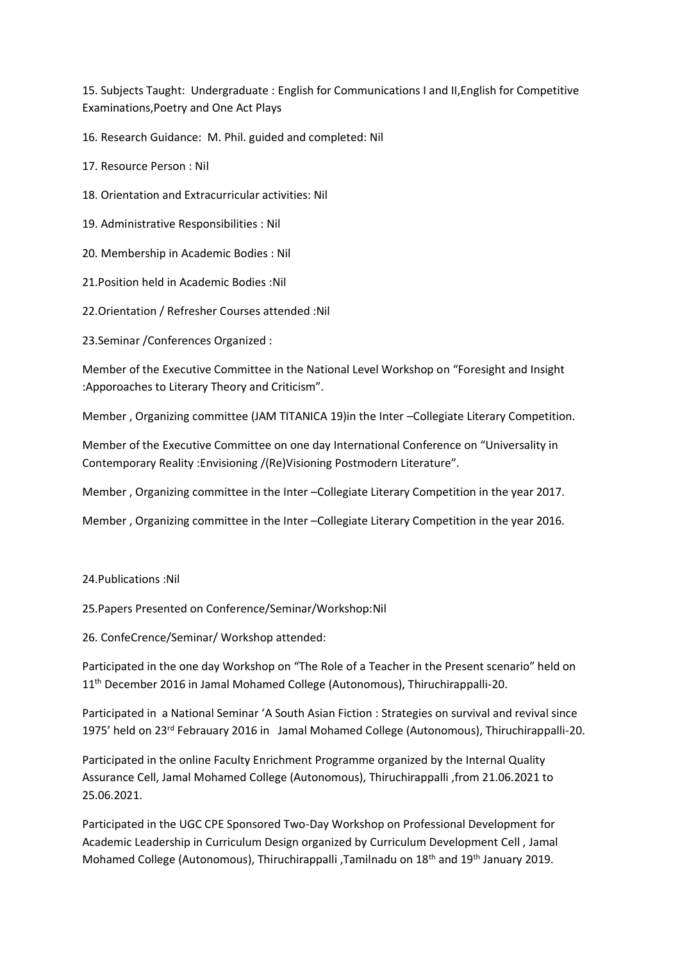15. Subjects Taught: Undergraduate : English for Communications I and II,English for Competitive Examinations,Poetry and One Act Plays

16. Research Guidance: M. Phil. guided and completed: Nil

17. Resource Person : Nil

18. Orientation and Extracurricular activities: Nil

19. Administrative Responsibilities : Nil

20. Membership in Academic Bodies : Nil

21.Position held in Academic Bodies :Nil

22.Orientation / Refresher Courses attended :Nil

23.Seminar /Conferences Organized :

Member of the Executive Committee in the National Level Workshop on "Foresight and Insight :Apporoaches to Literary Theory and Criticism".

Member , Organizing committee (JAM TITANICA 19)in the Inter –Collegiate Literary Competition.

Member of the Executive Committee on one day International Conference on "Universality in Contemporary Reality :Envisioning /(Re)Visioning Postmodern Literature".

Member , Organizing committee in the Inter –Collegiate Literary Competition in the year 2017.

Member , Organizing committee in the Inter –Collegiate Literary Competition in the year 2016.

## 24.Publications :Nil

25.Papers Presented on Conference/Seminar/Workshop:Nil

26. ConfeCrence/Seminar/ Workshop attended:

Participated in the one day Workshop on "The Role of a Teacher in the Present scenario" held on 11<sup>th</sup> December 2016 in Jamal Mohamed College (Autonomous), Thiruchirappalli-20.

Participated in a National Seminar 'A South Asian Fiction : Strategies on survival and revival since 1975' held on 23rd Febrauary 2016 in Jamal Mohamed College (Autonomous), Thiruchirappalli-20.

Participated in the online Faculty Enrichment Programme organized by the Internal Quality Assurance Cell, Jamal Mohamed College (Autonomous), Thiruchirappalli ,from 21.06.2021 to 25.06.2021.

Participated in the UGC CPE Sponsored Two-Day Workshop on Professional Development for Academic Leadership in Curriculum Design organized by Curriculum Development Cell , Jamal Mohamed College (Autonomous), Thiruchirappalli ,Tamilnadu on 18<sup>th</sup> and 19<sup>th</sup> January 2019.